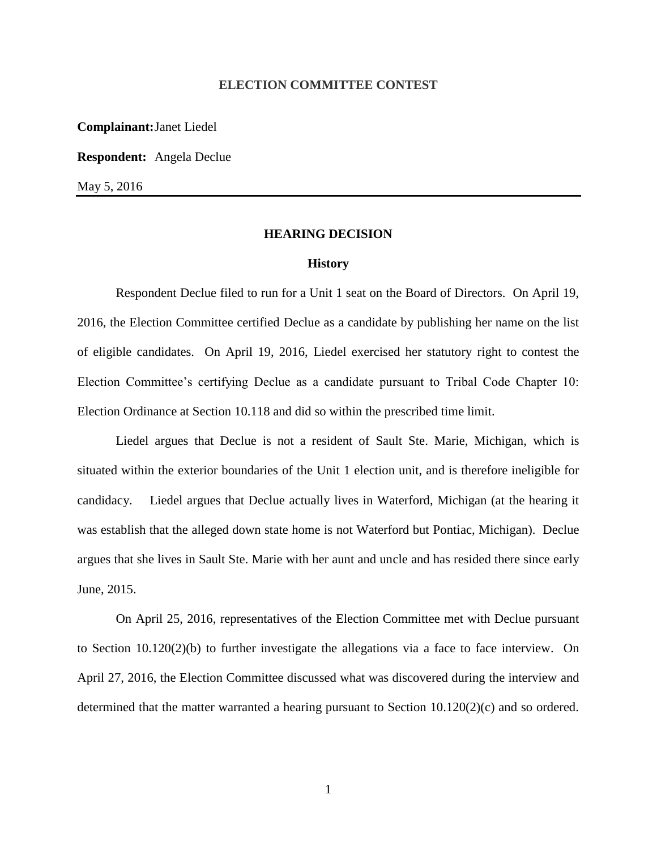## **ELECTION COMMITTEE CONTEST**

**Complainant:**Janet Liedel

**Respondent:** Angela Declue

May 5, 2016

### **HEARING DECISION**

#### **History**

Respondent Declue filed to run for a Unit 1 seat on the Board of Directors. On April 19, 2016, the Election Committee certified Declue as a candidate by publishing her name on the list of eligible candidates. On April 19, 2016, Liedel exercised her statutory right to contest the Election Committee's certifying Declue as a candidate pursuant to Tribal Code Chapter 10: Election Ordinance at Section 10.118 and did so within the prescribed time limit.

Liedel argues that Declue is not a resident of Sault Ste. Marie, Michigan, which is situated within the exterior boundaries of the Unit 1 election unit, and is therefore ineligible for candidacy. Liedel argues that Declue actually lives in Waterford, Michigan (at the hearing it was establish that the alleged down state home is not Waterford but Pontiac, Michigan). Declue argues that she lives in Sault Ste. Marie with her aunt and uncle and has resided there since early June, 2015.

On April 25, 2016, representatives of the Election Committee met with Declue pursuant to Section 10.120(2)(b) to further investigate the allegations via a face to face interview. On April 27, 2016, the Election Committee discussed what was discovered during the interview and determined that the matter warranted a hearing pursuant to Section 10.120(2)(c) and so ordered.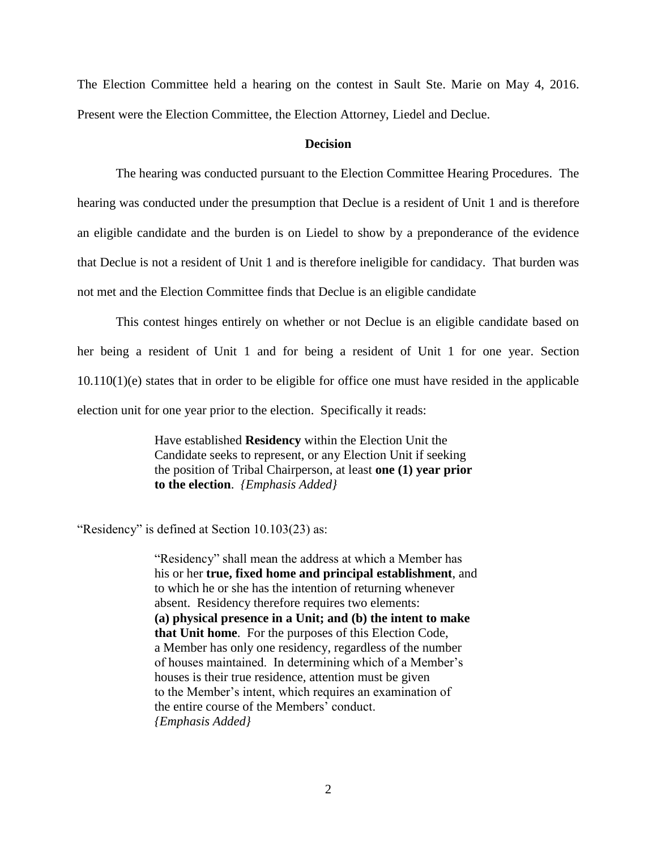The Election Committee held a hearing on the contest in Sault Ste. Marie on May 4, 2016. Present were the Election Committee, the Election Attorney, Liedel and Declue.

## **Decision**

The hearing was conducted pursuant to the Election Committee Hearing Procedures. The hearing was conducted under the presumption that Declue is a resident of Unit 1 and is therefore an eligible candidate and the burden is on Liedel to show by a preponderance of the evidence that Declue is not a resident of Unit 1 and is therefore ineligible for candidacy. That burden was not met and the Election Committee finds that Declue is an eligible candidate

This contest hinges entirely on whether or not Declue is an eligible candidate based on her being a resident of Unit 1 and for being a resident of Unit 1 for one year. Section 10.110(1)(e) states that in order to be eligible for office one must have resided in the applicable election unit for one year prior to the election. Specifically it reads:

> Have established **Residency** within the Election Unit the Candidate seeks to represent, or any Election Unit if seeking the position of Tribal Chairperson, at least **one (1) year prior to the election**. *{Emphasis Added}*

"Residency" is defined at Section 10.103(23) as:

"Residency" shall mean the address at which a Member has his or her **true, fixed home and principal establishment**, and to which he or she has the intention of returning whenever absent. Residency therefore requires two elements: **(a) physical presence in a Unit; and (b) the intent to make that Unit home**. For the purposes of this Election Code, a Member has only one residency, regardless of the number of houses maintained. In determining which of a Member's houses is their true residence, attention must be given to the Member's intent, which requires an examination of the entire course of the Members' conduct. *{Emphasis Added}*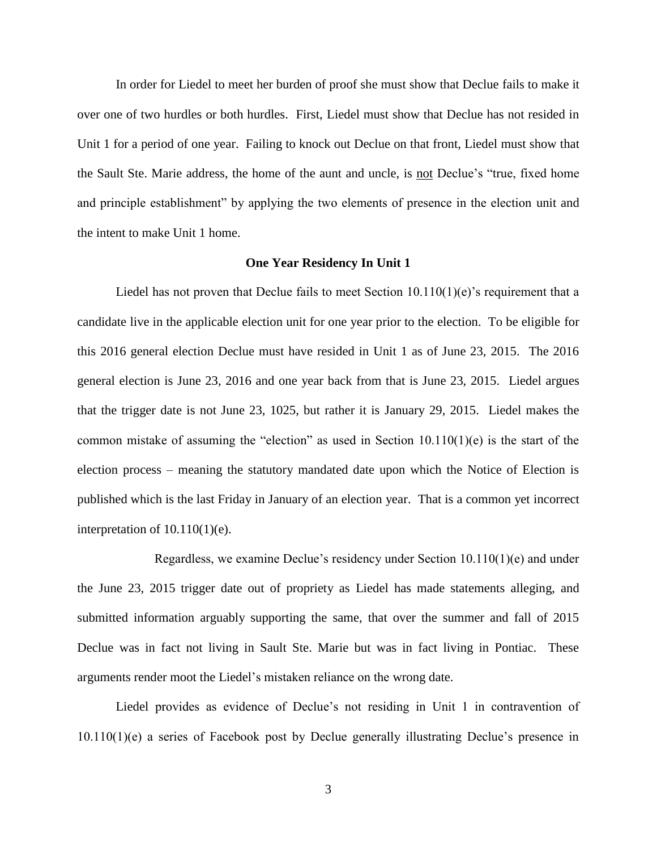In order for Liedel to meet her burden of proof she must show that Declue fails to make it over one of two hurdles or both hurdles. First, Liedel must show that Declue has not resided in Unit 1 for a period of one year. Failing to knock out Declue on that front, Liedel must show that the Sault Ste. Marie address, the home of the aunt and uncle, is not Declue's "true, fixed home and principle establishment" by applying the two elements of presence in the election unit and the intent to make Unit 1 home.

### **One Year Residency In Unit 1**

Liedel has not proven that Declue fails to meet Section  $10.110(1)(e)$ 's requirement that a candidate live in the applicable election unit for one year prior to the election. To be eligible for this 2016 general election Declue must have resided in Unit 1 as of June 23, 2015. The 2016 general election is June 23, 2016 and one year back from that is June 23, 2015. Liedel argues that the trigger date is not June 23, 1025, but rather it is January 29, 2015. Liedel makes the common mistake of assuming the "election" as used in Section 10.110(1)(e) is the start of the election process – meaning the statutory mandated date upon which the Notice of Election is published which is the last Friday in January of an election year. That is a common yet incorrect interpretation of 10.110(1)(e).

Regardless, we examine Declue's residency under Section 10.110(1)(e) and under the June 23, 2015 trigger date out of propriety as Liedel has made statements alleging, and submitted information arguably supporting the same, that over the summer and fall of 2015 Declue was in fact not living in Sault Ste. Marie but was in fact living in Pontiac. These arguments render moot the Liedel's mistaken reliance on the wrong date.

Liedel provides as evidence of Declue's not residing in Unit 1 in contravention of 10.110(1)(e) a series of Facebook post by Declue generally illustrating Declue's presence in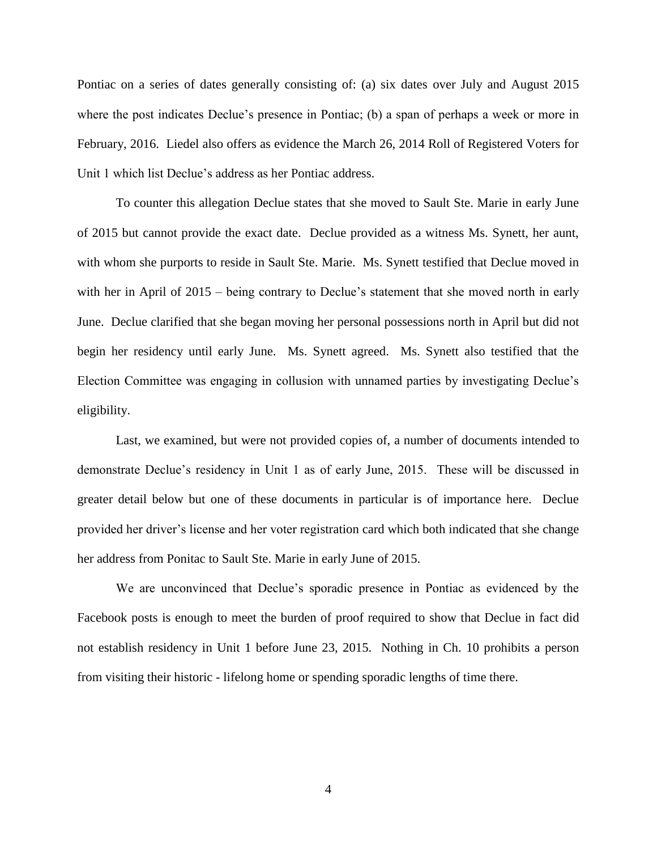Pontiac on a series of dates generally consisting of: (a) six dates over July and August 2015 where the post indicates Declue's presence in Pontiac; (b) a span of perhaps a week or more in February, 2016. Liedel also offers as evidence the March 26, 2014 Roll of Registered Voters for Unit 1 which list Declue's address as her Pontiac address.

To counter this allegation Declue states that she moved to Sault Ste. Marie in early June of 2015 but cannot provide the exact date. Declue provided as a witness Ms. Synett, her aunt, with whom she purports to reside in Sault Ste. Marie. Ms. Synett testified that Declue moved in with her in April of 2015 – being contrary to Declue's statement that she moved north in early June. Declue clarified that she began moving her personal possessions north in April but did not begin her residency until early June. Ms. Synett agreed. Ms. Synett also testified that the Election Committee was engaging in collusion with unnamed parties by investigating Declue's eligibility.

Last, we examined, but were not provided copies of, a number of documents intended to demonstrate Declue's residency in Unit 1 as of early June, 2015. These will be discussed in greater detail below but one of these documents in particular is of importance here. Declue provided her driver's license and her voter registration card which both indicated that she change her address from Ponitac to Sault Ste. Marie in early June of 2015.

We are unconvinced that Declue's sporadic presence in Pontiac as evidenced by the Facebook posts is enough to meet the burden of proof required to show that Declue in fact did not establish residency in Unit 1 before June 23, 2015. Nothing in Ch. 10 prohibits a person from visiting their historic - lifelong home or spending sporadic lengths of time there.

4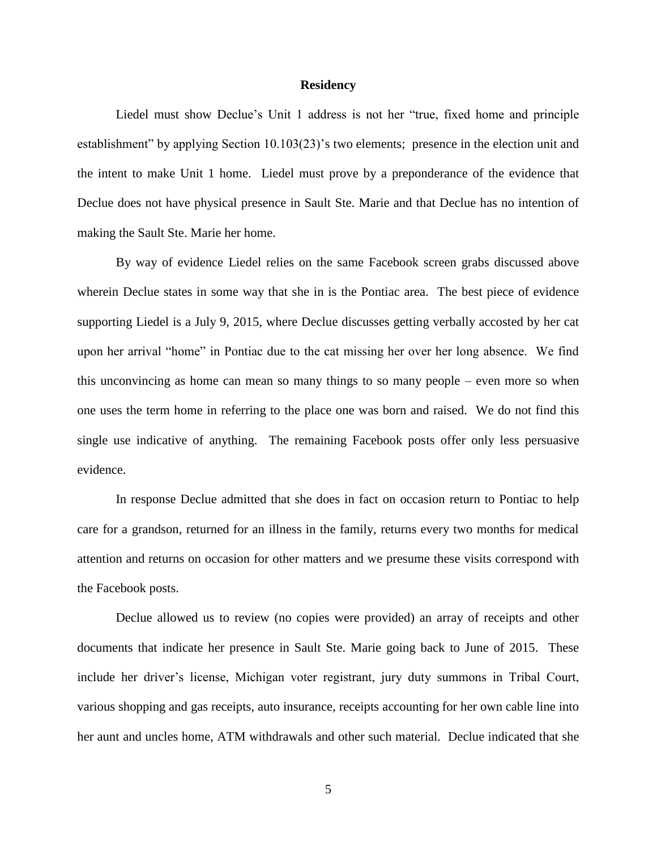## **Residency**

Liedel must show Declue's Unit 1 address is not her "true, fixed home and principle establishment" by applying Section 10.103(23)'s two elements; presence in the election unit and the intent to make Unit 1 home. Liedel must prove by a preponderance of the evidence that Declue does not have physical presence in Sault Ste. Marie and that Declue has no intention of making the Sault Ste. Marie her home.

By way of evidence Liedel relies on the same Facebook screen grabs discussed above wherein Declue states in some way that she in is the Pontiac area. The best piece of evidence supporting Liedel is a July 9, 2015, where Declue discusses getting verbally accosted by her cat upon her arrival "home" in Pontiac due to the cat missing her over her long absence. We find this unconvincing as home can mean so many things to so many people – even more so when one uses the term home in referring to the place one was born and raised. We do not find this single use indicative of anything. The remaining Facebook posts offer only less persuasive evidence.

In response Declue admitted that she does in fact on occasion return to Pontiac to help care for a grandson, returned for an illness in the family, returns every two months for medical attention and returns on occasion for other matters and we presume these visits correspond with the Facebook posts.

Declue allowed us to review (no copies were provided) an array of receipts and other documents that indicate her presence in Sault Ste. Marie going back to June of 2015. These include her driver's license, Michigan voter registrant, jury duty summons in Tribal Court, various shopping and gas receipts, auto insurance, receipts accounting for her own cable line into her aunt and uncles home, ATM withdrawals and other such material. Declue indicated that she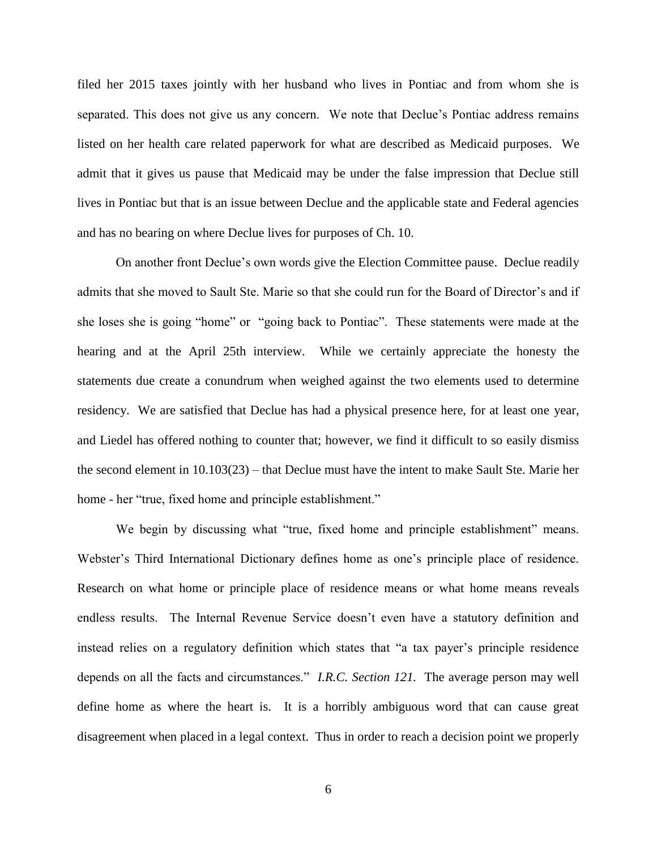filed her 2015 taxes jointly with her husband who lives in Pontiac and from whom she is separated. This does not give us any concern. We note that Declue's Pontiac address remains listed on her health care related paperwork for what are described as Medicaid purposes. We admit that it gives us pause that Medicaid may be under the false impression that Declue still lives in Pontiac but that is an issue between Declue and the applicable state and Federal agencies and has no bearing on where Declue lives for purposes of Ch. 10.

On another front Declue's own words give the Election Committee pause. Declue readily admits that she moved to Sault Ste. Marie so that she could run for the Board of Director's and if she loses she is going "home" or "going back to Pontiac". These statements were made at the hearing and at the April 25th interview. While we certainly appreciate the honesty the statements due create a conundrum when weighed against the two elements used to determine residency. We are satisfied that Declue has had a physical presence here, for at least one year, and Liedel has offered nothing to counter that; however, we find it difficult to so easily dismiss the second element in 10.103(23) – that Declue must have the intent to make Sault Ste. Marie her home - her "true, fixed home and principle establishment."

We begin by discussing what "true, fixed home and principle establishment" means. Webster's Third International Dictionary defines home as one's principle place of residence. Research on what home or principle place of residence means or what home means reveals endless results. The Internal Revenue Service doesn't even have a statutory definition and instead relies on a regulatory definition which states that "a tax payer's principle residence depends on all the facts and circumstances." *I.R.C. Section 121.* The average person may well define home as where the heart is. It is a horribly ambiguous word that can cause great disagreement when placed in a legal context. Thus in order to reach a decision point we properly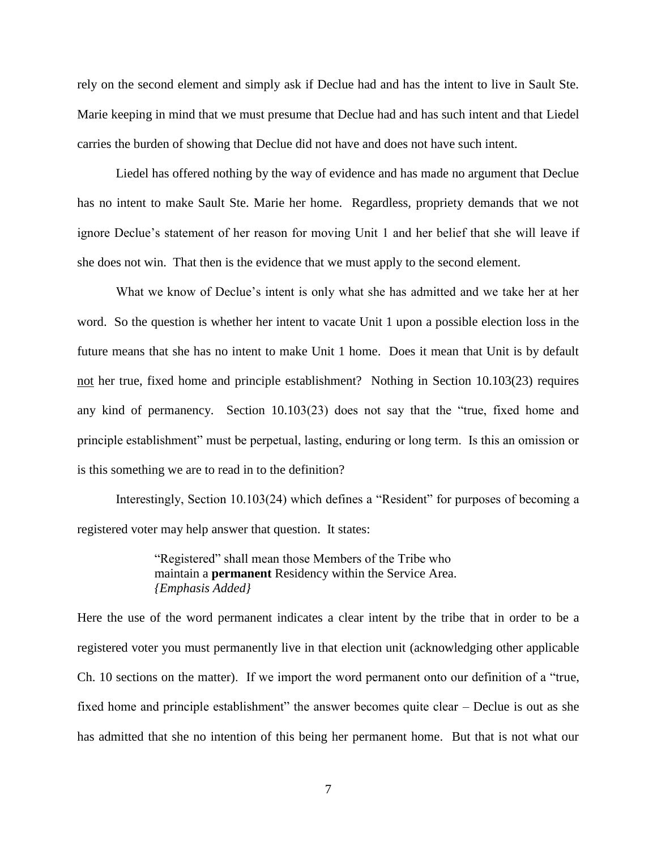rely on the second element and simply ask if Declue had and has the intent to live in Sault Ste. Marie keeping in mind that we must presume that Declue had and has such intent and that Liedel carries the burden of showing that Declue did not have and does not have such intent.

Liedel has offered nothing by the way of evidence and has made no argument that Declue has no intent to make Sault Ste. Marie her home. Regardless, propriety demands that we not ignore Declue's statement of her reason for moving Unit 1 and her belief that she will leave if she does not win. That then is the evidence that we must apply to the second element.

What we know of Declue's intent is only what she has admitted and we take her at her word. So the question is whether her intent to vacate Unit 1 upon a possible election loss in the future means that she has no intent to make Unit 1 home. Does it mean that Unit is by default not her true, fixed home and principle establishment? Nothing in Section 10.103(23) requires any kind of permanency. Section 10.103(23) does not say that the "true, fixed home and principle establishment" must be perpetual, lasting, enduring or long term. Is this an omission or is this something we are to read in to the definition?

Interestingly, Section 10.103(24) which defines a "Resident" for purposes of becoming a registered voter may help answer that question. It states:

> "Registered" shall mean those Members of the Tribe who maintain a **permanent** Residency within the Service Area. *{Emphasis Added}*

Here the use of the word permanent indicates a clear intent by the tribe that in order to be a registered voter you must permanently live in that election unit (acknowledging other applicable Ch. 10 sections on the matter). If we import the word permanent onto our definition of a "true, fixed home and principle establishment" the answer becomes quite clear – Declue is out as she has admitted that she no intention of this being her permanent home. But that is not what our